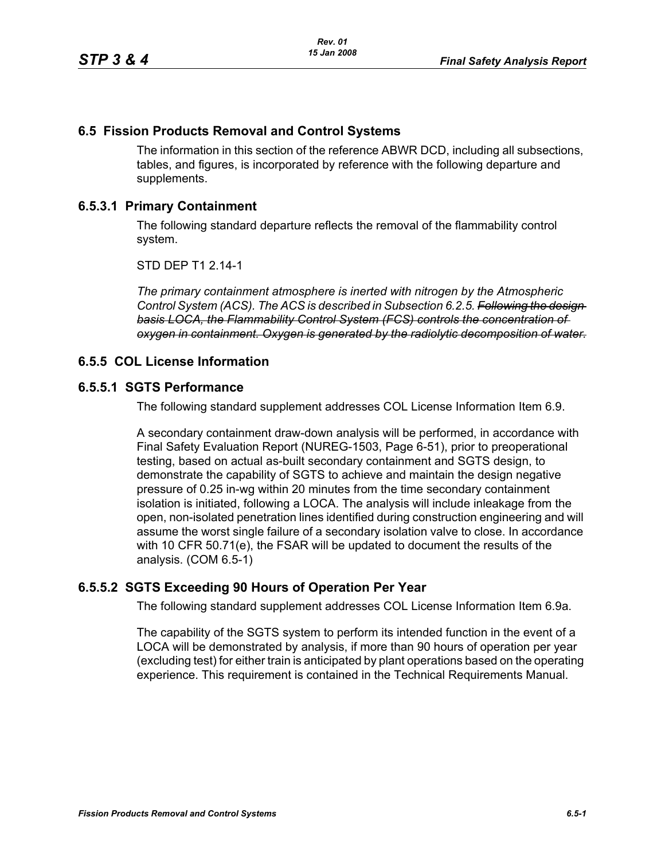# **6.5 Fission Products Removal and Control Systems**

The information in this section of the reference ABWR DCD, including all subsections, tables, and figures, is incorporated by reference with the following departure and supplements.

# **6.5.3.1 Primary Containment**

The following standard departure reflects the removal of the flammability control system.

STD DEP T1 2.14-1

*The primary containment atmosphere is inerted with nitrogen by the Atmospheric Control System (ACS). The ACS is described in Subsection 6.2.5. Following the design basis LOCA, the Flammability Control System (FCS) controls the concentration of oxygen in containment. Oxygen is generated by the radiolytic decomposition of water.*

### **6.5.5 COL License Information**

### **6.5.5.1 SGTS Performance**

The following standard supplement addresses COL License Information Item 6.9.

A secondary containment draw-down analysis will be performed, in accordance with Final Safety Evaluation Report (NUREG-1503, Page 6-51), prior to preoperational testing, based on actual as-built secondary containment and SGTS design, to demonstrate the capability of SGTS to achieve and maintain the design negative pressure of 0.25 in-wg within 20 minutes from the time secondary containment isolation is initiated, following a LOCA. The analysis will include inleakage from the open, non-isolated penetration lines identified during construction engineering and will assume the worst single failure of a secondary isolation valve to close. In accordance with 10 CFR 50.71(e), the FSAR will be updated to document the results of the analysis. (COM 6.5-1)

### **6.5.5.2 SGTS Exceeding 90 Hours of Operation Per Year**

The following standard supplement addresses COL License Information Item 6.9a.

The capability of the SGTS system to perform its intended function in the event of a LOCA will be demonstrated by analysis, if more than 90 hours of operation per year (excluding test) for either train is anticipated by plant operations based on the operating experience. This requirement is contained in the Technical Requirements Manual.